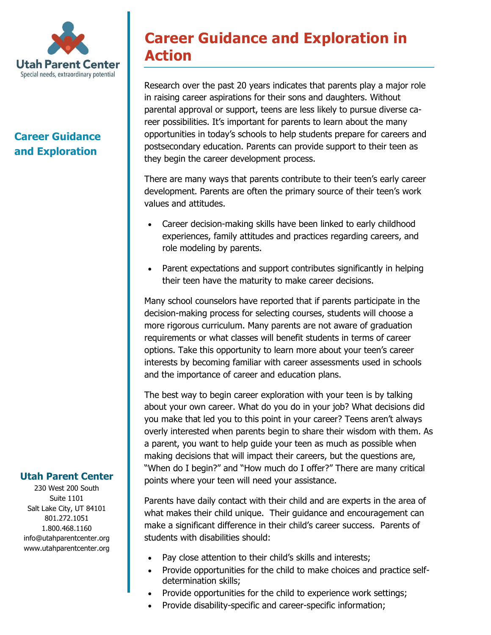

# **Career Guidance and Exploration**

# **Career Guidance and Exploration in Action**

Research over the past 20 years indicates that parents play a major role in raising career aspirations for their sons and daughters. Without parental approval or support, teens are less likely to pursue diverse career possibilities. It's important for parents to learn about the many opportunities in today's schools to help students prepare for careers and postsecondary education. Parents can provide support to their teen as they begin the career development process.

There are many ways that parents contribute to their teen's early career development. Parents are often the primary source of their teen's work values and attitudes.

- Career decision-making skills have been linked to early childhood experiences, family attitudes and practices regarding careers, and role modeling by parents.
- Parent expectations and support contributes significantly in helping their teen have the maturity to make career decisions.

Many school counselors have reported that if parents participate in the decision-making process for selecting courses, students will choose a more rigorous curriculum. Many parents are not aware of graduation requirements or what classes will benefit students in terms of career options. Take this opportunity to learn more about your teen's career interests by becoming familiar with career assessments used in schools and the importance of career and education plans.

The best way to begin career exploration with your teen is by talking about your own career. What do you do in your job? What decisions did you make that led you to this point in your career? Teens aren't always overly interested when parents begin to share their wisdom with them. As a parent, you want to help guide your teen as much as possible when making decisions that will impact their careers, but the questions are, "When do I begin?" and "How much do I offer?" There are many critical points where your teen will need your assistance.

Parents have daily contact with their child and are experts in the area of what makes their child unique. Their guidance and encouragement can make a significant difference in their child's career success. Parents of students with disabilities should:

- Pay close attention to their child's skills and interests;
- Provide opportunities for the child to make choices and practice selfdetermination skills;
- Provide opportunities for the child to experience work settings;
- Provide disability-specific and career-specific information;

## **Utah Parent Center**

230 West 200 South Suite 1101 Salt Lake City, UT 84101 801.272.1051 1.800.468.1160 info@utahparentcenter.org www.utahparentcenter.org